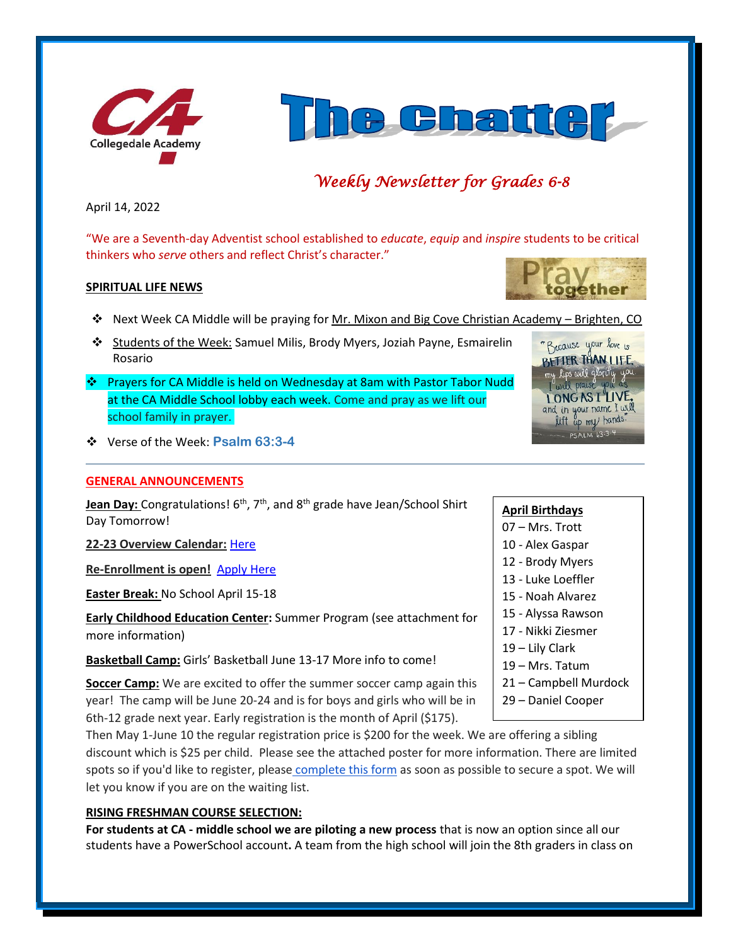



## *Weekly Newsletter for Grades 6-8*

April 14, 2022

"We are a Seventh-day Adventist school established to *educate*, *equip* and *inspire* students to be critical thinkers who *serve* others and reflect Christ's character."

#### **SPIRITUAL LIFE NEWS**

- ❖ Next Week CA Middle will be praying for Mr. Mixon and Big Cove Christian Academy Brighten, CO
- ❖ Students of the Week: Samuel Milis, Brody Myers, Joziah Payne, Esmairelin Rosario
- ❖ Prayers for CA Middle is held on Wednesday at 8am with Pastor Tabor Nudd at the CA Middle School lobby each week. Come and pray as we lift our school family in prayer.
- ❖ Verse of the Week: **Psalm 63:3-4**

#### **GENERAL ANNOUNCEMENTS**

Jean Day: Congratulations! 6<sup>th</sup>, 7<sup>th</sup>, and 8<sup>th</sup> grade have Jean/School Shirt Day Tomorrow!

**22-23 Overview Calendar:** [Here](https://www.collegedaleacademy.com/wp-content/uploads/2022/04/2022-23-Overview-Calendar-middle.pdf)

**Re-Enrollment is open!** [Apply Here](http://collegedaleacademy.com/apply)

**Easter Break:** No School April 15-18

**Early Childhood Education Center:** Summer Program (see attachment for more information)

**Basketball Camp:** Girls' Basketball June 13-17 More info to come!

**Soccer Camp:** We are excited to offer the summer soccer camp again this year! The camp will be June 20-24 and is for boys and girls who will be in 6th-12 grade next year. Early registration is the month of April (\$175).

Then May 1-June 10 the regular registration price is \$200 for the week. We are offering a sibling discount which is \$25 per child. Please see the attached poster for more information. There are limited spots so if you'd like to register, please [complete this form](https://forms.gle/cvV8zJutoMjgpXwMA) as soon as possible to secure a spot. We will let you know if you are on the waiting list.

#### **RISING FRESHMAN COURSE SELECTION:**

**For students at CA - middle school we are piloting a new process** that is now an option since all our students have a PowerSchool account**.** A team from the high school will join the 8th graders in class on



### **April Birthdays**

- 07 Mrs. Trott
- 10 Alex Gaspar
- 12 Brody Myers
- 13 Luke Loeffler
- 15 Noah Alvarez
- 15 Alyssa Rawson
- 17 Nikki Ziesmer
- 19 Lily Clark
- 19 Mrs. Tatum
- 21 Campbell Murdock
- 29 Daniel Cooper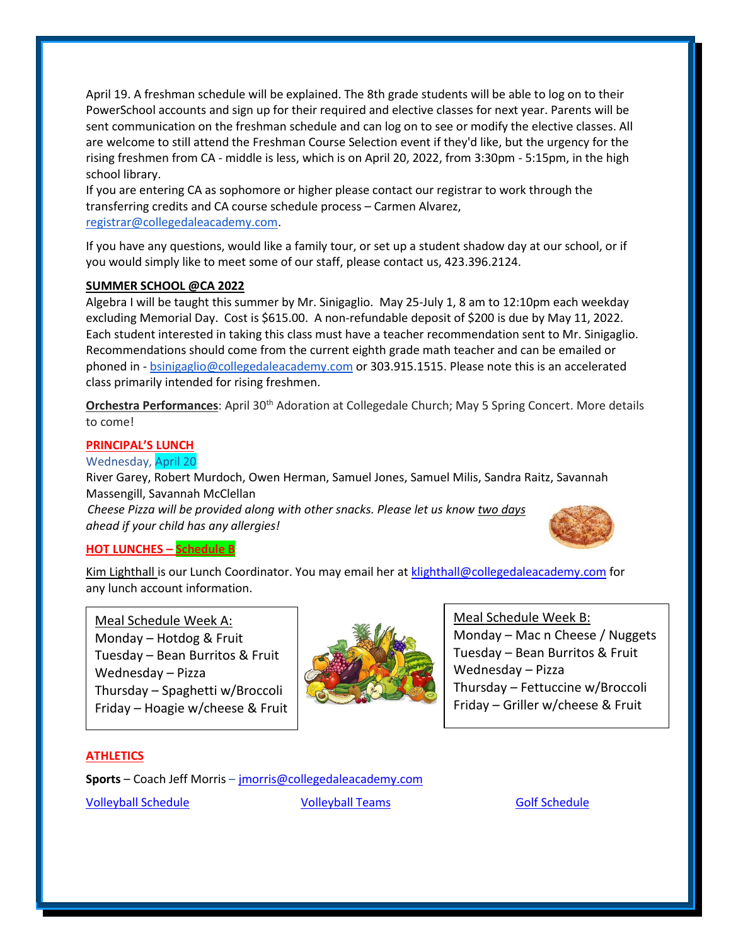April 19. A freshman schedule will be explained. The 8th grade students will be able to log on to their PowerSchool accounts and sign up for their required and elective classes for next year. Parents will be sent communication on the freshman schedule and can log on to see or modify the elective classes. All are welcome to still attend the Freshman Course Selection event if they'd like, but the urgency for the rising freshmen from CA - middle is less, which is on April 20, 2022, from 3:30pm - 5:15pm, in the high school library.

If you are entering CA as sophomore or higher please contact our registrar to work through the transferring credits and CA course schedule process – Carmen Alvarez, [registrar@collegedaleacademy.com.](mailto:registrar@collegedaleacademy.com)

If you have any questions, would like a family tour, or set up a student shadow day at our school, or if you would simply like to meet some of our staff, please contact us, 423.396.2124.

#### **SUMMER SCHOOL @CA 2022**

Algebra I will be taught this summer by Mr. Sinigaglio. May 25-July 1, 8 am to 12:10pm each weekday excluding Memorial Day. Cost is \$615.00. A non-refundable deposit of \$200 is due by May 11, 2022. Each student interested in taking this class must have a teacher recommendation sent to Mr. Sinigaglio. Recommendations should come from the current eighth grade math teacher and can be emailed or phoned in - [bsinigaglio@collegedaleacademy.com](mailto:bsinigaglio@collegedaleacademy.com) or 303.915.1515. Please note this is an accelerated class primarily intended for rising freshmen.

**Orchestra Performances**: April 30th Adoration at Collegedale Church; May 5 Spring Concert. More details to come!

#### **PRINCIPAL'S LUNCH**

#### Wednesday, April 20

River Garey, Robert Murdoch, Owen Herman, Samuel Jones, Samuel Milis, Sandra Raitz, Savannah Massengill, Savannah McClellan

*Cheese Pizza will be provided along with other snacks. Please let us know two days ahead if your child has any allergies!*



## **HOT LUNCHES – Schedule B**

Kim Lighthall is our Lunch Coordinator. You may email her a[t klighthall@collegedaleacademy.com](mailto:klighthall@collegedaleacademy.com) for any lunch account information.

Meal Schedule Week A: Monday – Hotdog & Fruit Tuesday – Bean Burritos & Fruit Wednesday – Pizza Thursday – Spaghetti w/Broccoli Friday – Hoagie w/cheese & Fruit



Meal Schedule Week B:

Monday – Mac n Cheese / Nuggets Tuesday – Bean Burritos & Fruit Wednesday – Pizza Thursday – Fettuccine w/Broccoli Friday – Griller w/cheese & Fruit

#### **ATHLETICS**

**Sports** – Coach Jeff Morris – [jmorris@collegedaleacademy.com](mailto:jmorris@collegedaleacademy.com) [Volleyball Schedule](https://www.collegedaleacademy.com/wp-content/uploads/2022/02/2022-Volleyball-schedule.pdf) **[Volleyball Teams](https://www.collegedaleacademy.com/wp-content/uploads/2022/02/2021-2022-Volleyball-Teams-1.pdf)** [Golf Schedule](https://www.collegedaleacademy.com/wp-content/uploads/2022/03/2022-ISC-Golf-Schedule.pdf)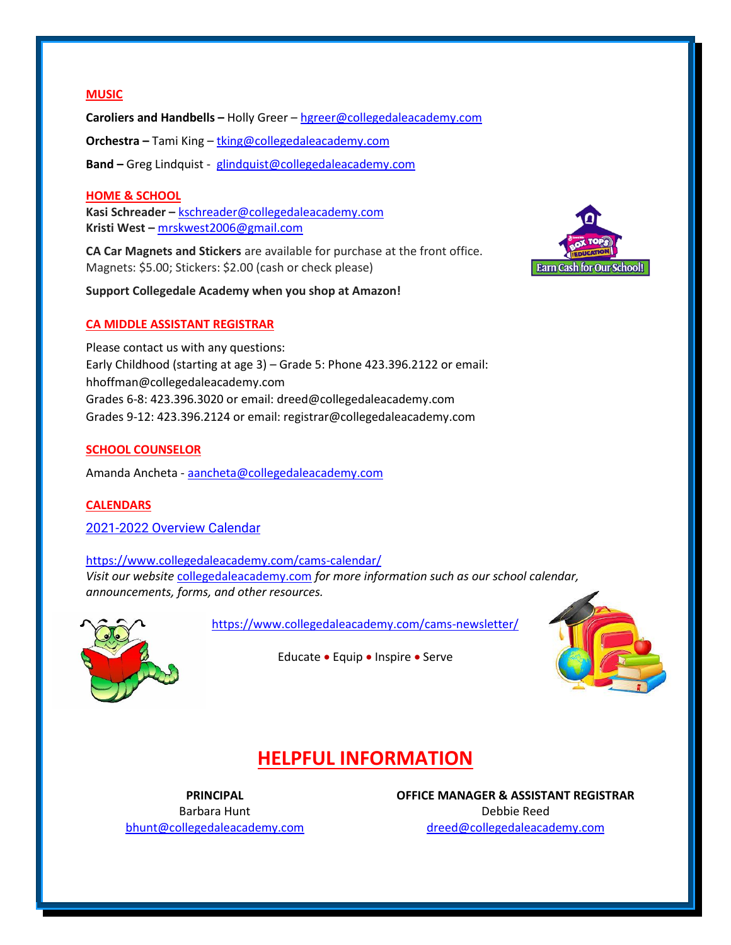#### **MUSIC**

**Caroliers and Handbells –** Holly Greer – [hgreer@collegedaleacademy.com](mailto:hgreer@collegedaleacademy.com) **Orchestra –** Tami King – [tking@collegedaleacademy.com](mailto:tking@collegedaleacademy.com) **Band –** Greg Lindquist - [glindquist@collegedaleacademy.com](mailto:glindquist@collegedaleacademy.com)

#### **HOME & SCHOOL**

**Kasi Schreader –** [kschreader@collegedaleacademy.com](mailto:kschreader@collegedaleacademy.com) **Kristi West –** [mrskwest2006@gmail.com](mailto:mrskwest2006@gmail.com)

**CA Car Magnets and Stickers** are available for purchase at the front office. Magnets: \$5.00; Stickers: \$2.00 (cash or check please)

**Support Collegedale Academy when you shop at Amazon!**

#### **CA MIDDLE ASSISTANT REGISTRAR**

Please contact us with any questions: Early Childhood (starting at age 3) – Grade 5: Phone 423.396.2122 or email: hhoffman@collegedaleacademy.com Grades 6-8: 423.396.3020 or email: dreed@collegedaleacademy.com Grades 9-12: 423.396.2124 or email: registrar@collegedaleacademy.com

#### **SCHOOL COUNSELOR**

Amanda Ancheta - [aancheta@collegedaleacademy.com](mailto:aancheta@collegedaleacademy.com)

#### **CALENDARS**

2021-2022 [Overview Calendar](https://www.collegedaleacademy.com/wp-content/uploads/2021/07/2021-22-Overview-Calendar-middle.pdf)

<https://www.collegedaleacademy.com/cams-calendar/> *Visit our website* [collegedaleacademy.com](https://www.collegedaleacademy.com/) *for more information such as our school calendar, announcements, forms, and other resources.*



<https://www.collegedaleacademy.com/cams-newsletter/>

Educate • Equip • Inspire • Serve



# **HELPFUL INFORMATION**

**PRINCIPAL** Barbara Hunt [bhunt@collegedaleacademy.com](mailto:bhunt@collegedaleacademy.com) **OFFICE MANAGER & ASSISTANT REGISTRAR** Debbie Reed [dreed@collegedaleacademy.com](mailto:dreed@collegedaleacademy.com)